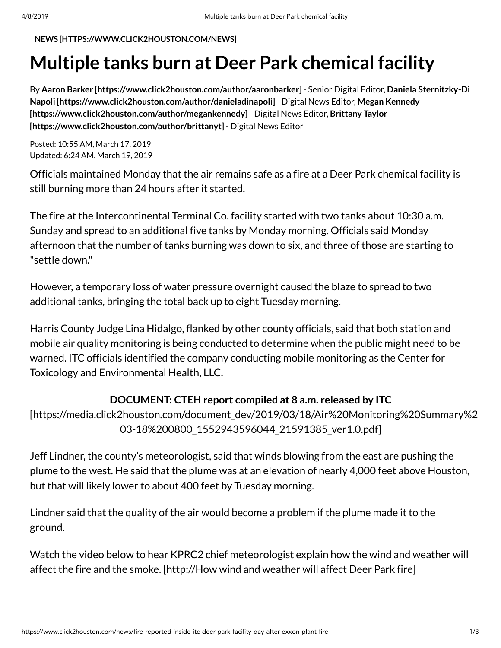**NEWS [\[HTTPS://WWW.CLICK2HOUSTON.COM/NEWS\]](https://www.click2houston.com/news)**

# **Multiple tanks burn at Deer Park chemical facility**

By **Aaron Barker [\[https://www.click2houston.com/author/aaronbarker\]](https://www.click2houston.com/author/aaronbarker)** - Senior Digital Editor, **Daniela Sternitzky-Di Napoli [\[https://www.click2houston.com/author/danieladinapoli\]](https://www.click2houston.com/author/danieladinapoli)** - Digital News Editor, **Megan Kennedy [\[https://www.click2houston.com/author/megankennedy\]](https://www.click2houston.com/author/brittanyt)** - Digital News Editor, **Brittany Taylor [https://www.click2houston.com/author/brittanyt]** - Digital News Editor

Posted: 10:55 AM, March 17, 2019 Updated: 6:24 AM, March 19, 2019

Officials maintained Monday that the air remains safe as a fire at a Deer Park chemical facility is still burning more than 24 hours after it started.

The fire at the Intercontinental Terminal Co. facility started with two tanks about 10:30 a.m. Sunday and spread to an additional five tanks by Monday morning. Officials said Monday afternoon that the number of tanks burning was down to six, and three of those are starting to "settle down."

However, a temporary loss of water pressure overnight caused the blaze to spread to two additional tanks, bringing the total back up to eight Tuesday morning.

Harris County Judge Lina Hidalgo, flanked by other county officials, said that both station and mobile air quality monitoring is being conducted to determine when the public might need to be warned. ITC officials identified the company conducting mobile monitoring as the Center for Toxicology and Environmental Health, LLC.

#### **DOCUMENT: CTEH report compiled at 8 a.m. released by ITC**

[\[https://media.click2houston.com/document\\_dev/2019/03/18/Air%20Monitoring%20Summary%2](https://media.click2houston.com/document_dev/2019/03/18/Air%20Monitoring%20Summary%20Deer%20Park%20Tank%20Fire%20Air%20Monitoring%20Summary%202019-03-18%200800_1552943596044_21591385_ver1.0.pdf) 03-18%200800\_1552943596044\_21591385\_ver1.0.pdf]

Jeff Lindner, the county's meteorologist, said that winds blowing from the east are pushing the plume to the west. He said that the plume was at an elevation of nearly 4,000 feet above Houston, but that will likely lower to about 400 feet by Tuesday morning.

Lindner said that the quality of the air would become a problem if the plume made it to the ground.

Watch the video below to hear KPRC2 chief [meteorologist](http://how%20wind%20and%20weather%20will%20affect%20deer%20park%20fire/) explain how the wind and weather will affect the fire and the smoke. [http://How wind and weather will affect Deer Park fire]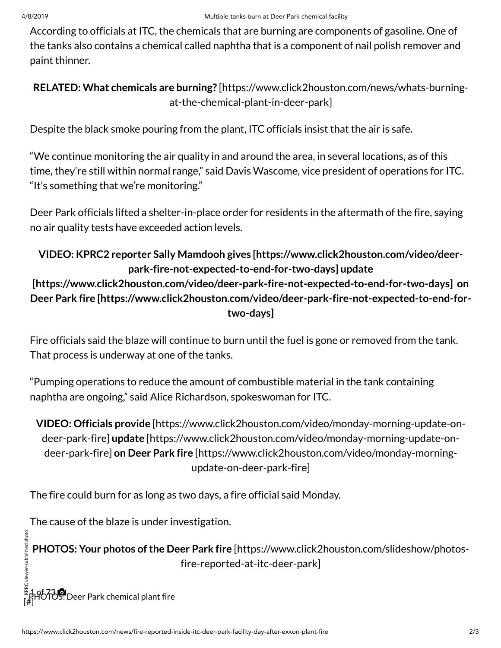According to officials at ITC, the chemicals that are burning are components of gasoline. One of the tanks also contains a chemical called naphtha that is a component of nail polish remover and paint thinner.

#### **RELATED: What chemicals are burning?** [\[https://www.click2houston.com/news/whats-burning](https://www.click2houston.com/news/whats-burning-at-the-chemical-plant-in-deer-park)at-the-chemical-plant-in-deer-park]

Despite the black smoke pouring from the plant, ITC officials insist that the air is safe.

"We continue monitoring the air quality in and around the area, in several locations, as of this time, they're still within normal range," said Davis Wascome, vice president of operations for ITC. "It's something that we're monitoring."

Deer Park officials lifted a shelter-in-place order for residents in the aftermath of the fire, saying no air quality tests have exceeded action levels.

## **VIDEO: KPRC2 reporter Sally Mamdooh gives [https://www.click2houston.com/video/deer[park-fire-not-expected-to-end-for-two-days\]](https://www.click2houston.com/video/deer-park-fire-not-expected-to-end-for-two-days) update**

### **[\[https://www.click2houston.com/video/deer-park-fire-not-expected-to-end-for-two-days\]](https://www.click2houston.com/video/deer-park-fire-not-expected-to-end-for-two-days) on Deer Park fire [https://www.click2houston.com/video/deer-park-fire-not-expected-to-end-fortwo-days]**

Fire officials said the blaze will continue to burn until the fuel is gone or removed from the tank. That process is underway at one of the tanks.

"Pumping operations to reduce the amount of combustible material in the tank containing naphtha are ongoing," said Alice Richardson, spokeswoman for ITC.

**VIDEO: Officials provide** [https://www.click2houston.com/video/monday-morning-update-ondeer-park-fire] **update** [\[https://www.click2houston.com/video/monday-morning-update-on](https://www.click2houston.com/video/monday-morning-update-on-deer-park-fire)deer-park-fire] **on Deer Park fire** [\[https://www.click2houston.com/video/monday-morning](https://www.click2houston.com/video/monday-morning-update-on-deer-park-fire)update-on-deer-park-fire]

The fire could burn for as long as two days, a fire official said Monday.

The cause of the blaze is under investigation.

**PHOTOS: Your photos of the Deer Park fire [\[https://www.click2houston.com/slideshow/photos](https://www.click2houston.com/slideshow/photos-fire-reported-at-itc-deer-park)**fire-reported-at-itc-deer-park] RC viewer-submitted photo

[#] <sup>ငွ</sup> 1.9673 ©<br><sub>F#1</sub>HOTOS: Deer Park chemical plant fire